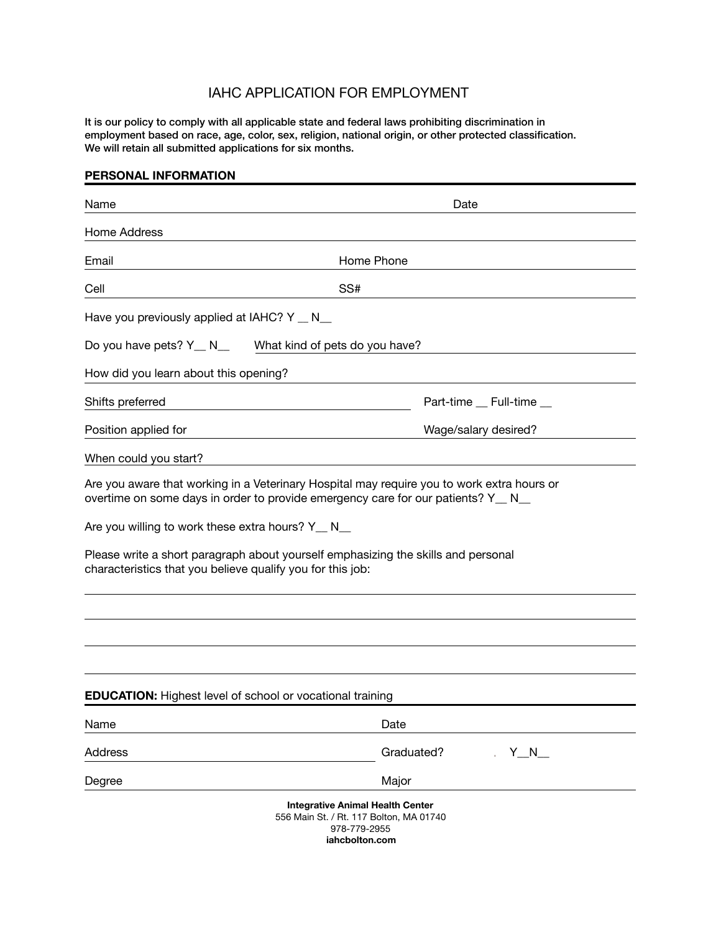## IAHC APPLICATION FOR EMPLOYMENT

It is our policy to comply with all applicable state and federal laws prohibiting discrimination in employment based on race, age, color, sex, religion, national origin, or other protected classification. We will retain all submitted applications for six months.

## **PERSONAL INFORMATION**

| Name                                                                                                           | Date                                                                                                                                                                                                                                                                |
|----------------------------------------------------------------------------------------------------------------|---------------------------------------------------------------------------------------------------------------------------------------------------------------------------------------------------------------------------------------------------------------------|
| Home Address                                                                                                   |                                                                                                                                                                                                                                                                     |
| Email                                                                                                          | Home Phone                                                                                                                                                                                                                                                          |
| Cell                                                                                                           | SS#                                                                                                                                                                                                                                                                 |
| Have you previously applied at IAHC? Y _ N_                                                                    |                                                                                                                                                                                                                                                                     |
| Do you have pets? Y_ N_                                                                                        | What kind of pets do you have?                                                                                                                                                                                                                                      |
| How did you learn about this opening?                                                                          |                                                                                                                                                                                                                                                                     |
| Shifts preferred                                                                                               | Part-time _ Full-time _                                                                                                                                                                                                                                             |
| Position applied for                                                                                           | Wage/salary desired?                                                                                                                                                                                                                                                |
| When could you start?                                                                                          |                                                                                                                                                                                                                                                                     |
| Are you willing to work these extra hours? Y_ N_<br>characteristics that you believe qualify you for this job: | Are you aware that working in a Veterinary Hospital may require you to work extra hours or<br>overtime on some days in order to provide emergency care for our patients? Y _ N<br>Please write a short paragraph about yourself emphasizing the skills and personal |
|                                                                                                                | <b>EDUCATION:</b> Highest level of school or vocational training                                                                                                                                                                                                    |
| Name                                                                                                           | Date                                                                                                                                                                                                                                                                |
| Address                                                                                                        | Graduated?<br>$Y_{M}N_{M}$                                                                                                                                                                                                                                          |
| Degree                                                                                                         | Major                                                                                                                                                                                                                                                               |
|                                                                                                                | <b>Integrative Animal Health Center</b><br>556 Main St. / Rt. 117 Bolton, MA 01740<br>978-779-2955                                                                                                                                                                  |

 **iahcbolton.com**